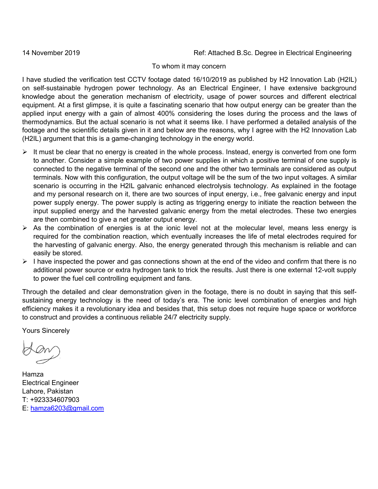14 November 2019 Ref: Attached B.Sc. Degree in Electrical Engineering

## To whom it may concern

I have studied the verification test CCTV footage dated 16/10/2019 as published by H2 Innovation Lab (H2IL) on self-sustainable hydrogen power technology. As an Electrical Engineer, I have extensive background knowledge about the generation mechanism of electricity, usage of power sources and different electrical equipment. At a first glimpse, it is quite a fascinating scenario that how output energy can be greater than the applied input energy with a gain of almost 400% considering the loses during the process and the laws of thermodynamics. But the actual scenario is not what it seems like. I have performed a detailed analysis of the footage and the scientific details given in it and below are the reasons, why I agree with the H2 Innovation Lab (H2IL) argument that this is a game-changing technology in the energy world.

- $\triangleright$  It must be clear that no energy is created in the whole process. Instead, energy is converted from one form to another. Consider a simple example of two power supplies in which a positive terminal of one supply is connected to the negative terminal of the second one and the other two terminals are considered as output terminals. Now with this configuration, the output voltage will be the sum of the two input voltages. A similar scenario is occurring in the H2IL galvanic enhanced electrolysis technology. As explained in the footage and my personal research on it, there are two sources of input energy, i.e., free galvanic energy and input power supply energy. The power supply is acting as triggering energy to initiate the reaction between the input supplied energy and the harvested galvanic energy from the metal electrodes. These two energies are then combined to give a net greater output energy.
- $\triangleright$  As the combination of energies is at the ionic level not at the molecular level, means less energy is required for the combination reaction, which eventually increases the life of metal electrodes required for the harvesting of galvanic energy. Also, the energy generated through this mechanism is reliable and can easily be stored.
- $\triangleright$  I have inspected the power and gas connections shown at the end of the video and confirm that there is no additional power source or extra hydrogen tank to trick the results. Just there is one external 12-volt supply to power the fuel cell controlling equipment and fans.

Through the detailed and clear demonstration given in the footage, there is no doubt in saying that this selfsustaining energy technology is the need of today's era. The ionic level combination of energies and high efficiency makes it a revolutionary idea and besides that, this setup does not require huge space or workforce to construct and provides a continuous reliable 24/7 electricity supply.

Yours Sincerely

Hamza Electrical Engineer Lahore, Pakistan T: +923334607903 E: [hamza6203@gmail.com](mailto:hamza6203@gmail.com)